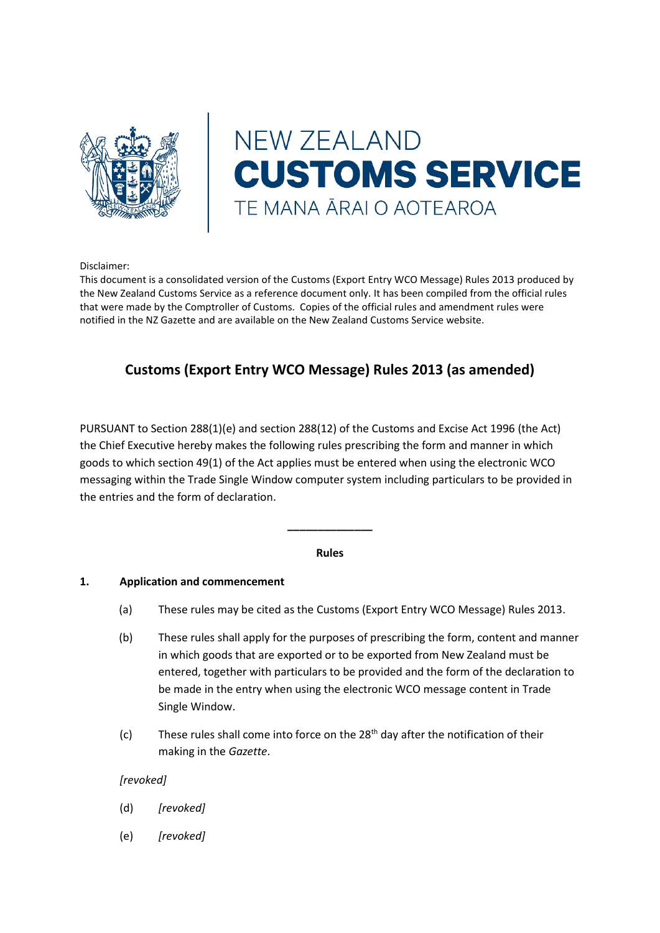

# **NEW ZEALAND CUSTOMS SERVICE** TE MANA ĀRAI O AOTEAROA

Disclaimer:

This document is a consolidated version of the Customs (Export Entry WCO Message) Rules 2013 produced by the New Zealand Customs Service as a reference document only. It has been compiled from the official rules that were made by the Comptroller of Customs. Copies of the official rules and amendment rules were notified in the NZ Gazette and are available on the New Zealand Customs Service website.

# **Customs (Export Entry WCO Message) Rules 2013 (as amended)**

PURSUANT to Section 288(1)(e) and section 288(12) of the Customs and Excise Act 1996 (the Act) the Chief Executive hereby makes the following rules prescribing the form and manner in which goods to which section 49(1) of the Act applies must be entered when using the electronic WCO messaging within the Trade Single Window computer system including particulars to be provided in the entries and the form of declaration.

# **Rules**

**\_\_\_\_\_\_\_\_\_\_\_\_\_\_**

# **1. Application and commencement**

- (a) These rules may be cited as the Customs (Export Entry WCO Message) Rules 2013.
- (b) These rules shall apply for the purposes of prescribing the form, content and manner in which goods that are exported or to be exported from New Zealand must be entered, together with particulars to be provided and the form of the declaration to be made in the entry when using the electronic WCO message content in Trade Single Window.
- (c) These rules shall come into force on the  $28<sup>th</sup>$  day after the notification of their making in the *Gazette*.

# *[revoked]*

- (d) *[revoked]*
- (e) *[revoked]*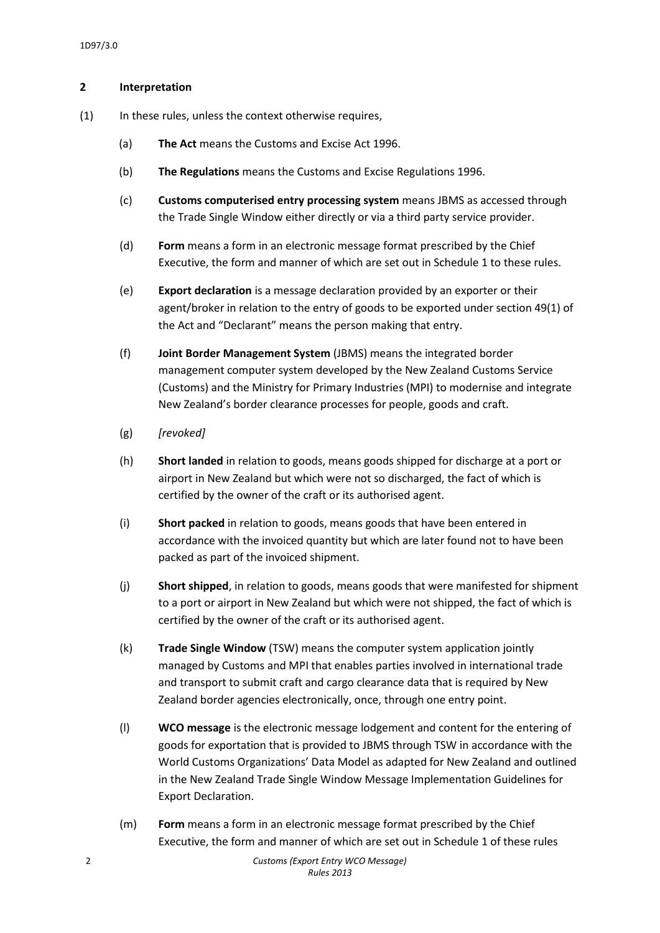# **2 Interpretation**

- (1) In these rules, unless the context otherwise requires,
	- (a) **The Act** means the Customs and Excise Act 1996.
	- (b) **The Regulations** means the Customs and Excise Regulations 1996.
	- (c) **Customs computerised entry processing system** means JBMS as accessed through the Trade Single Window either directly or via a third party service provider.
	- (d) **Form** means a form in an electronic message format prescribed by the Chief Executive, the form and manner of which are set out in Schedule 1 to these rules.
	- (e) **Export declaration** is a message declaration provided by an exporter or their agent/broker in relation to the entry of goods to be exported under section 49(1) of the Act and "Declarant" means the person making that entry.
	- (f) **Joint Border Management System** (JBMS) means the integrated border management computer system developed by the New Zealand Customs Service (Customs) and the Ministry for Primary Industries (MPI) to modernise and integrate New Zealand's border clearance processes for people, goods and craft.
	- (g) *[revoked]*
	- (h) **Short landed** in relation to goods, means goods shipped for discharge at a port or airport in New Zealand but which were not so discharged, the fact of which is certified by the owner of the craft or its authorised agent.
	- (i) **Short packed** in relation to goods, means goods that have been entered in accordance with the invoiced quantity but which are later found not to have been packed as part of the invoiced shipment.
	- (j) **Short shipped**, in relation to goods, means goods that were manifested for shipment to a port or airport in New Zealand but which were not shipped, the fact of which is certified by the owner of the craft or its authorised agent.
	- (k) **Trade Single Window** (TSW) means the computer system application jointly managed by Customs and MPI that enables parties involved in international trade and transport to submit craft and cargo clearance data that is required by New Zealand border agencies electronically, once, through one entry point.
	- (l) **WCO message** is the electronic message lodgement and content for the entering of goods for exportation that is provided to JBMS through TSW in accordance with the World Customs Organizations' Data Model as adapted for New Zealand and outlined in the New Zealand Trade Single Window Message Implementation Guidelines for Export Declaration.
	- (m) **Form** means a form in an electronic message format prescribed by the Chief Executive, the form and manner of which are set out in Schedule 1 of these rules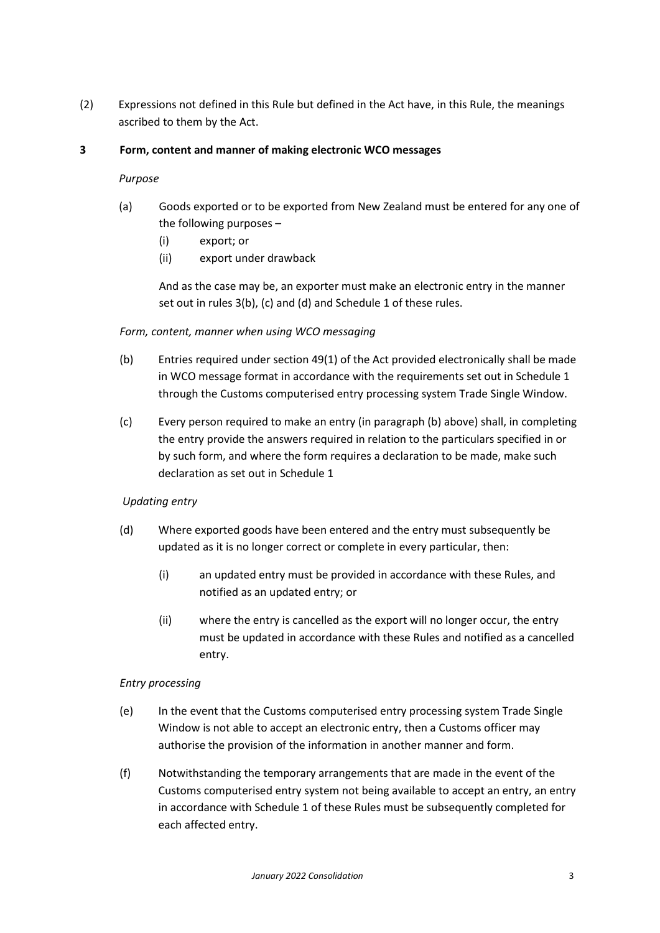(2) Expressions not defined in this Rule but defined in the Act have, in this Rule, the meanings ascribed to them by the Act.

# **3 Form, content and manner of making electronic WCO messages**

# *Purpose*

- (a) Goods exported or to be exported from New Zealand must be entered for any one of the following purposes –
	- (i) export; or
	- (ii) export under drawback

And as the case may be, an exporter must make an electronic entry in the manner set out in rules 3(b), (c) and (d) and Schedule 1 of these rules.

# *Form, content, manner when using WCO messaging*

- (b) Entries required under section 49(1) of the Act provided electronically shall be made in WCO message format in accordance with the requirements set out in Schedule 1 through the Customs computerised entry processing system Trade Single Window.
- (c) Every person required to make an entry (in paragraph (b) above) shall, in completing the entry provide the answers required in relation to the particulars specified in or by such form, and where the form requires a declaration to be made, make such declaration as set out in Schedule 1

# *Updating entry*

- (d) Where exported goods have been entered and the entry must subsequently be updated as it is no longer correct or complete in every particular, then:
	- (i) an updated entry must be provided in accordance with these Rules, and notified as an updated entry; or
	- (ii) where the entry is cancelled as the export will no longer occur, the entry must be updated in accordance with these Rules and notified as a cancelled entry.

# *Entry processing*

- (e) In the event that the Customs computerised entry processing system Trade Single Window is not able to accept an electronic entry, then a Customs officer may authorise the provision of the information in another manner and form.
- (f) Notwithstanding the temporary arrangements that are made in the event of the Customs computerised entry system not being available to accept an entry, an entry in accordance with Schedule 1 of these Rules must be subsequently completed for each affected entry.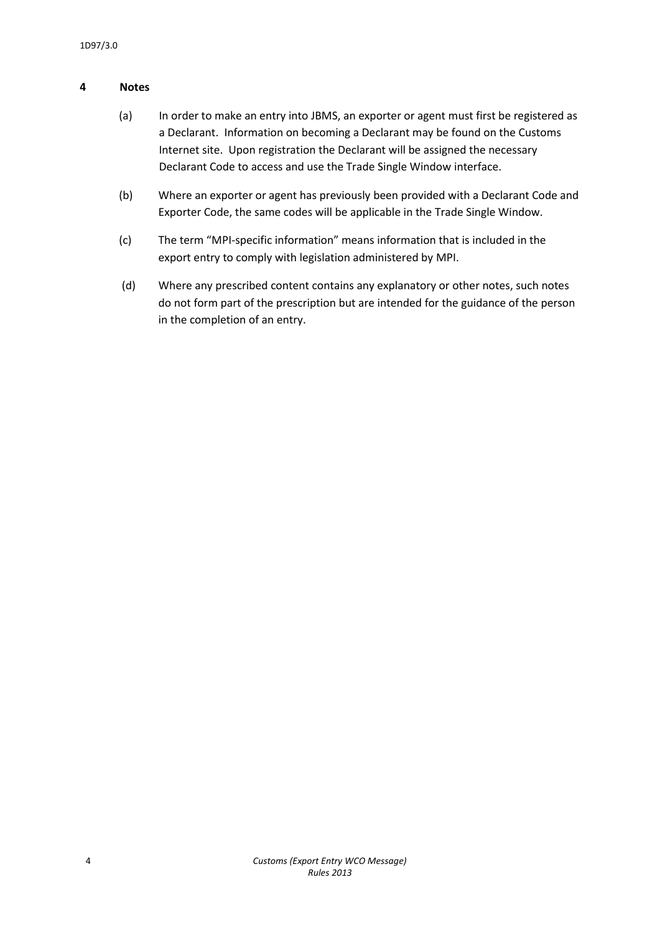# **4 Notes**

- (a) In order to make an entry into JBMS, an exporter or agent must first be registered as a Declarant. Information on becoming a Declarant may be found on the Customs Internet site. Upon registration the Declarant will be assigned the necessary Declarant Code to access and use the Trade Single Window interface.
- (b) Where an exporter or agent has previously been provided with a Declarant Code and Exporter Code, the same codes will be applicable in the Trade Single Window.
- (c) The term "MPI-specific information" means information that is included in the export entry to comply with legislation administered by MPI.
- (d) Where any prescribed content contains any explanatory or other notes, such notes do not form part of the prescription but are intended for the guidance of the person in the completion of an entry.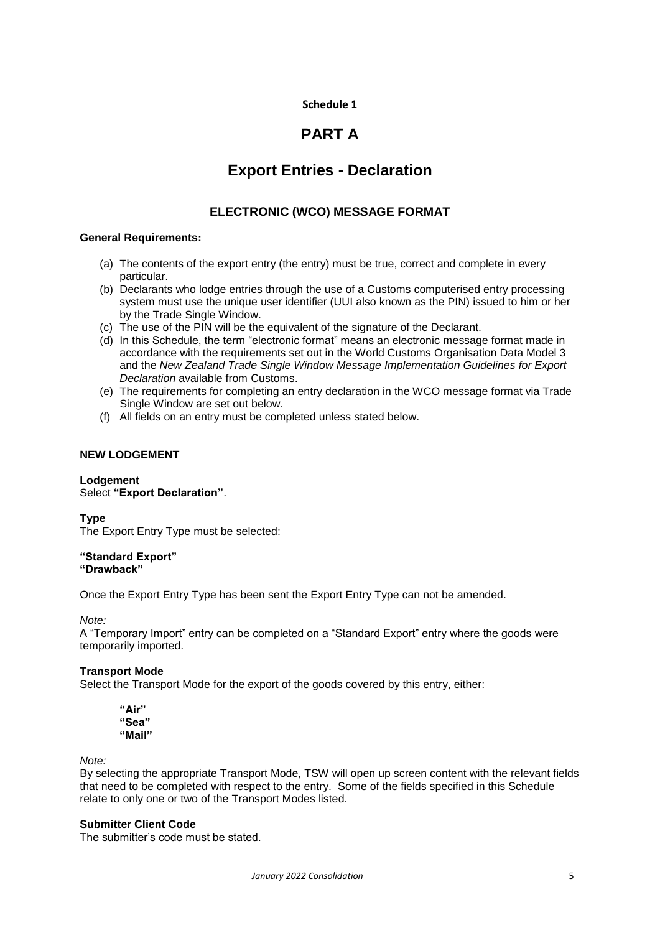# **Schedule 1**

# **PART A**

# **Export Entries - Declaration**

# **ELECTRONIC (WCO) MESSAGE FORMAT**

# **General Requirements:**

- (a) The contents of the export entry (the entry) must be true, correct and complete in every particular.
- (b) Declarants who lodge entries through the use of a Customs computerised entry processing system must use the unique user identifier (UUI also known as the PIN) issued to him or her by the Trade Single Window.
- (c) The use of the PIN will be the equivalent of the signature of the Declarant.
- (d) In this Schedule, the term "electronic format" means an electronic message format made in accordance with the requirements set out in the World Customs Organisation Data Model 3 and the *New Zealand Trade Single Window Message Implementation Guidelines for Export Declaration* available from Customs.
- (e) The requirements for completing an entry declaration in the WCO message format via Trade Single Window are set out below.
- (f) All fields on an entry must be completed unless stated below.

# **NEW LODGEMENT**

# **Lodgement** Select **"Export Declaration"**.

**Type** The Export Entry Type must be selected:

#### **"Standard Export" "Drawback"**

Once the Export Entry Type has been sent the Export Entry Type can not be amended.

*Note:*

A "Temporary Import" entry can be completed on a "Standard Export" entry where the goods were temporarily imported.

# **Transport Mode**

Select the Transport Mode for the export of the goods covered by this entry, either:

**"Air" "Sea" "Mail"**

*Note:*

By selecting the appropriate Transport Mode, TSW will open up screen content with the relevant fields that need to be completed with respect to the entry. Some of the fields specified in this Schedule relate to only one or two of the Transport Modes listed.

## **Submitter Client Code**

The submitter's code must be stated.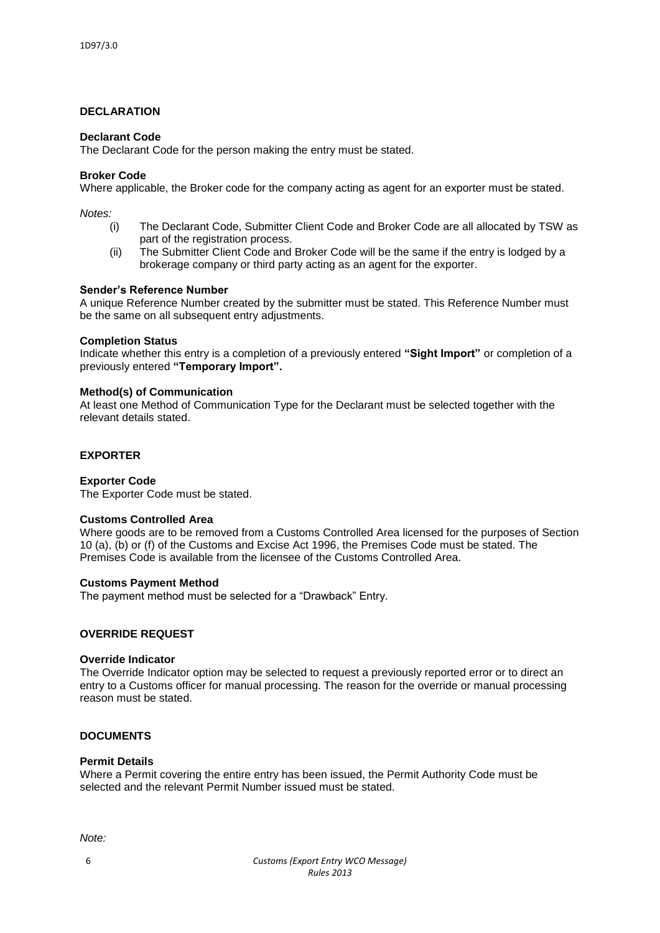# **DECLARATION**

#### **Declarant Code**

The Declarant Code for the person making the entry must be stated.

#### **Broker Code**

Where applicable, the Broker code for the company acting as agent for an exporter must be stated.

*Notes:*

- (i) The Declarant Code, Submitter Client Code and Broker Code are all allocated by TSW as part of the registration process.
- (ii) The Submitter Client Code and Broker Code will be the same if the entry is lodged by a brokerage company or third party acting as an agent for the exporter.

#### **Sender's Reference Number**

A unique Reference Number created by the submitter must be stated. This Reference Number must be the same on all subsequent entry adjustments.

#### **Completion Status**

Indicate whether this entry is a completion of a previously entered **"Sight Import"** or completion of a previously entered **"Temporary Import".**

#### **Method(s) of Communication**

At least one Method of Communication Type for the Declarant must be selected together with the relevant details stated.

# **EXPORTER**

#### **Exporter Code**

The Exporter Code must be stated.

#### **Customs Controlled Area**

Where goods are to be removed from a Customs Controlled Area licensed for the purposes of Section 10 (a), (b) or (f) of the Customs and Excise Act 1996, the Premises Code must be stated. The Premises Code is available from the licensee of the Customs Controlled Area.

#### **Customs Payment Method**

The payment method must be selected for a "Drawback" Entry.

#### **OVERRIDE REQUEST**

#### **Override Indicator**

The Override Indicator option may be selected to request a previously reported error or to direct an entry to a Customs officer for manual processing. The reason for the override or manual processing reason must be stated.

# **DOCUMENTS**

#### **Permit Details**

Where a Permit covering the entire entry has been issued, the Permit Authority Code must be selected and the relevant Permit Number issued must be stated.

*Note:*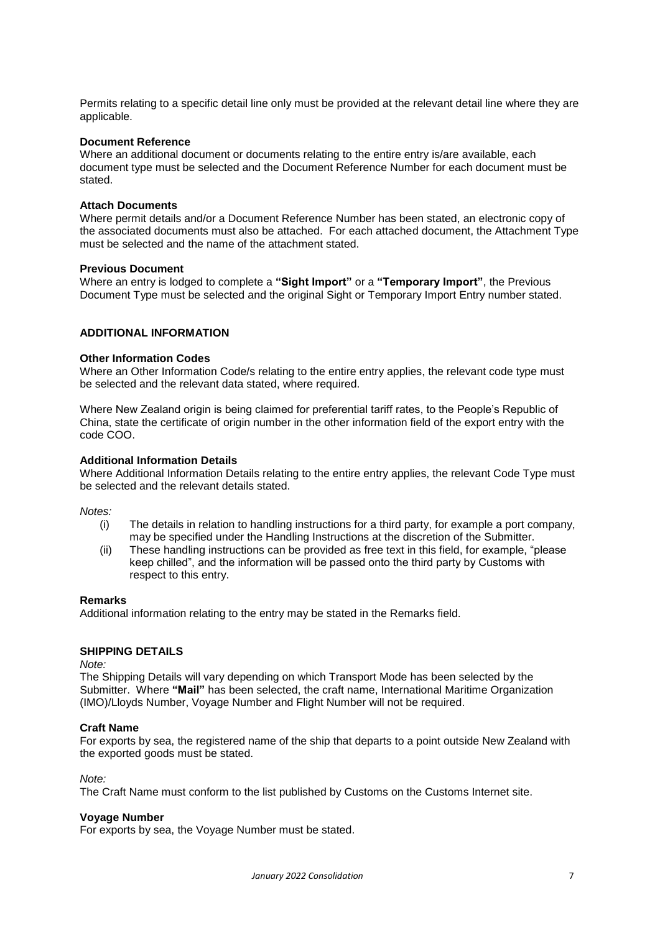Permits relating to a specific detail line only must be provided at the relevant detail line where they are applicable.

#### **Document Reference**

Where an additional document or documents relating to the entire entry is/are available, each document type must be selected and the Document Reference Number for each document must be stated.

#### **Attach Documents**

Where permit details and/or a Document Reference Number has been stated, an electronic copy of the associated documents must also be attached. For each attached document, the Attachment Type must be selected and the name of the attachment stated.

#### **Previous Document**

Where an entry is lodged to complete a **"Sight Import"** or a **"Temporary Import"**, the Previous Document Type must be selected and the original Sight or Temporary Import Entry number stated.

## **ADDITIONAL INFORMATION**

#### **Other Information Codes**

Where an Other Information Code/s relating to the entire entry applies, the relevant code type must be selected and the relevant data stated, where required.

Where New Zealand origin is being claimed for preferential tariff rates, to the People's Republic of China, state the certificate of origin number in the other information field of the export entry with the code COO.

#### **Additional Information Details**

Where Additional Information Details relating to the entire entry applies, the relevant Code Type must be selected and the relevant details stated.

*Notes:*

- (i) The details in relation to handling instructions for a third party, for example a port company, may be specified under the Handling Instructions at the discretion of the Submitter.
- (ii) These handling instructions can be provided as free text in this field, for example, "please keep chilled", and the information will be passed onto the third party by Customs with respect to this entry.

#### **Remarks**

Additional information relating to the entry may be stated in the Remarks field.

# **SHIPPING DETAILS**

*Note:*

The Shipping Details will vary depending on which Transport Mode has been selected by the Submitter. Where **"Mail"** has been selected, the craft name, International Maritime Organization (IMO)/Lloyds Number, Voyage Number and Flight Number will not be required.

#### **Craft Name**

For exports by sea, the registered name of the ship that departs to a point outside New Zealand with the exported goods must be stated.

*Note:*

The Craft Name must conform to the list published by Customs on the Customs Internet site.

#### **Voyage Number**

For exports by sea, the Voyage Number must be stated.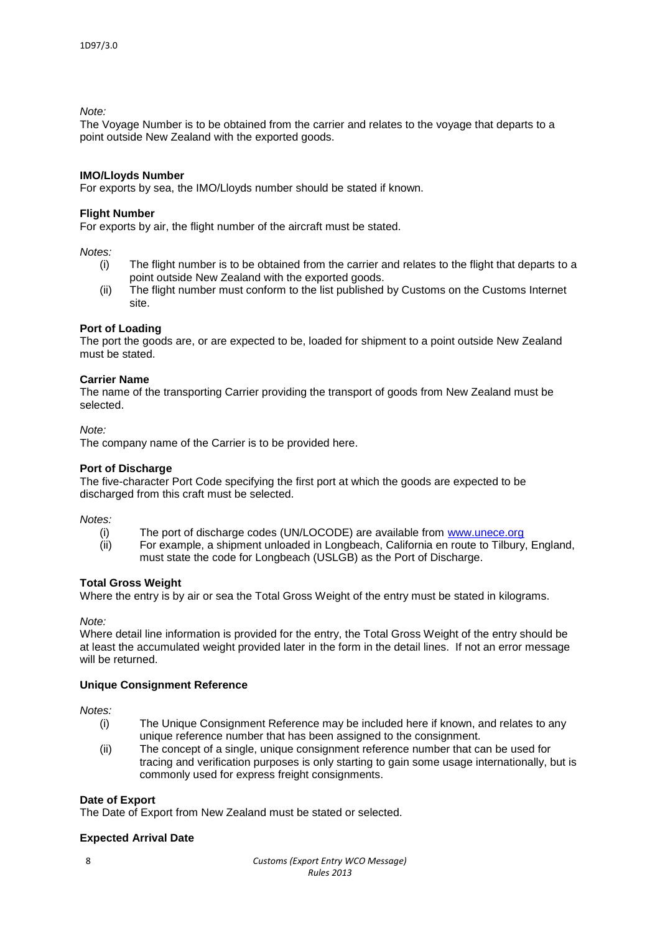# *Note:*

The Voyage Number is to be obtained from the carrier and relates to the voyage that departs to a point outside New Zealand with the exported goods.

### **IMO/Lloyds Number**

For exports by sea, the IMO/Lloyds number should be stated if known.

# **Flight Number**

For exports by air, the flight number of the aircraft must be stated.

*Notes:*

- (i) The flight number is to be obtained from the carrier and relates to the flight that departs to a point outside New Zealand with the exported goods.
- (ii) The flight number must conform to the list published by Customs on the Customs Internet site.

# **Port of Loading**

The port the goods are, or are expected to be, loaded for shipment to a point outside New Zealand must be stated.

# **Carrier Name**

The name of the transporting Carrier providing the transport of goods from New Zealand must be selected.

*Note:*

The company name of the Carrier is to be provided here.

### **Port of Discharge**

The five-character Port Code specifying the first port at which the goods are expected to be discharged from this craft must be selected.

#### *Notes:*

- (i) The port of discharge codes (UN/LOCODE) are available from [www.unece.org](http://www.unece.org/)
- (ii) For example, a shipment unloaded in Longbeach, California en route to Tilbury, England, must state the code for Longbeach (USLGB) as the Port of Discharge.

#### **Total Gross Weight**

Where the entry is by air or sea the Total Gross Weight of the entry must be stated in kilograms.

*Note:*

Where detail line information is provided for the entry, the Total Gross Weight of the entry should be at least the accumulated weight provided later in the form in the detail lines. If not an error message will be returned.

# **Unique Consignment Reference**

*Notes:*

- (i) The Unique Consignment Reference may be included here if known, and relates to any unique reference number that has been assigned to the consignment.
- (ii) The concept of a single, unique consignment reference number that can be used for tracing and verification purposes is only starting to gain some usage internationally, but is commonly used for express freight consignments.

# **Date of Export**

The Date of Export from New Zealand must be stated or selected.

# **Expected Arrival Date**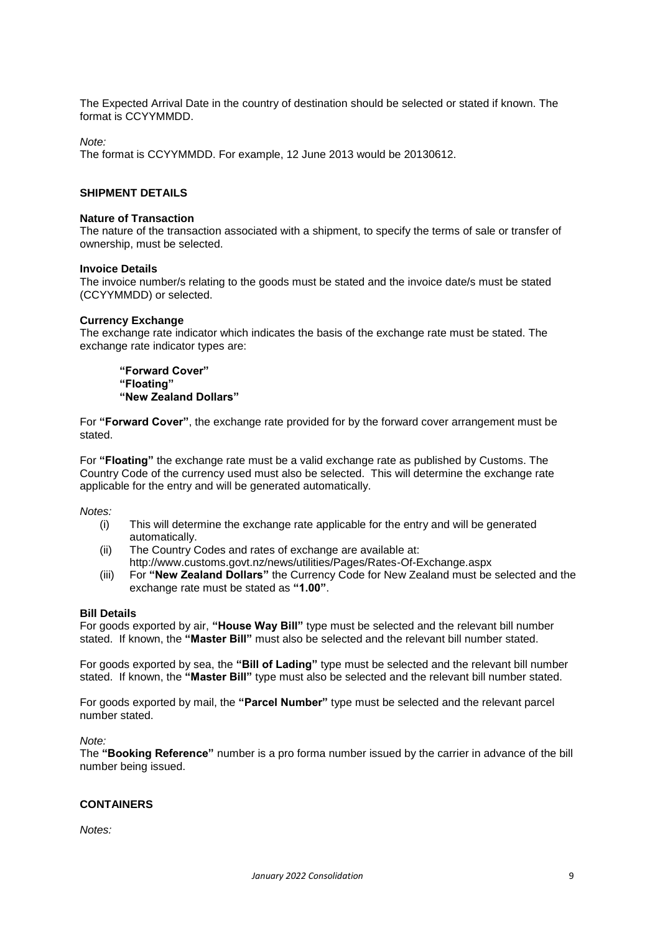The Expected Arrival Date in the country of destination should be selected or stated if known. The format is CCYYMMDD.

*Note:*

The format is CCYYMMDD. For example, 12 June 2013 would be 20130612.

# **SHIPMENT DETAILS**

#### **Nature of Transaction**

The nature of the transaction associated with a shipment, to specify the terms of sale or transfer of ownership, must be selected.

#### **Invoice Details**

The invoice number/s relating to the goods must be stated and the invoice date/s must be stated (CCYYMMDD) or selected.

#### **Currency Exchange**

The exchange rate indicator which indicates the basis of the exchange rate must be stated. The exchange rate indicator types are:

**"Forward Cover" "Floating" "New Zealand Dollars"**

For **"Forward Cover"**, the exchange rate provided for by the forward cover arrangement must be stated.

For **"Floating"** the exchange rate must be a valid exchange rate as published by Customs. The Country Code of the currency used must also be selected. This will determine the exchange rate applicable for the entry and will be generated automatically.

*Notes:*

- (i) This will determine the exchange rate applicable for the entry and will be generated automatically.
- (ii) The Country Codes and rates of exchange are available at: <http://www.customs.govt.nz/news/utilities/Pages/Rates-Of-Exchange.aspx>
- (iii) For **"New Zealand Dollars"** the Currency Code for New Zealand must be selected and the exchange rate must be stated as **"1.00"**.

#### **Bill Details**

For goods exported by air, **"House Way Bill"** type must be selected and the relevant bill number stated. If known, the **"Master Bill"** must also be selected and the relevant bill number stated.

For goods exported by sea, the **"Bill of Lading"** type must be selected and the relevant bill number stated. If known, the **"Master Bill"** type must also be selected and the relevant bill number stated.

For goods exported by mail, the **"Parcel Number"** type must be selected and the relevant parcel number stated.

*Note:*

The **"Booking Reference"** number is a pro forma number issued by the carrier in advance of the bill number being issued.

# **CONTAINERS**

*Notes:*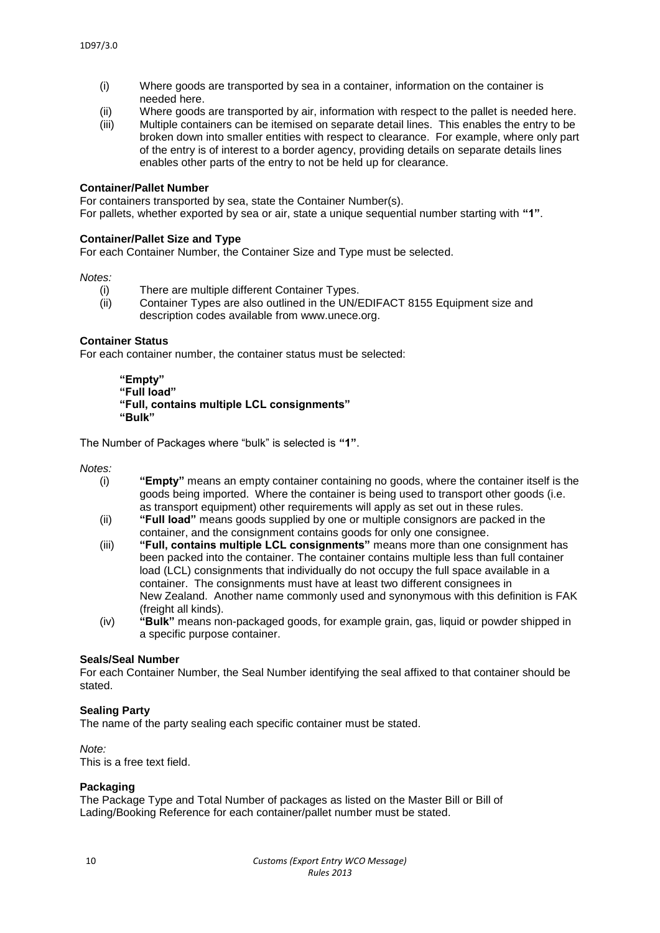- (i) Where goods are transported by sea in a container, information on the container is needed here.
- (ii) Where goods are transported by air, information with respect to the pallet is needed here.
- (iii) Multiple containers can be itemised on separate detail lines. This enables the entry to be broken down into smaller entities with respect to clearance. For example, where only part of the entry is of interest to a border agency, providing details on separate details lines enables other parts of the entry to not be held up for clearance.

## **Container/Pallet Number**

For containers transported by sea, state the Container Number(s). For pallets, whether exported by sea or air, state a unique sequential number starting with **"1"**.

#### **Container/Pallet Size and Type**

For each Container Number, the Container Size and Type must be selected.

*Notes:*

- (i) There are multiple different Container Types.
- (ii) Container Types are also outlined in the UN/EDIFACT 8155 Equipment size and description codes available from www.unece.org.

#### **Container Status**

For each container number, the container status must be selected:

**"Empty" "Full load" "Full, contains multiple LCL consignments" "Bulk"**

The Number of Packages where "bulk" is selected is **"1"**.

*Notes:*

- (i) **"Empty"** means an empty container containing no goods, where the container itself is the goods being imported. Where the container is being used to transport other goods (i.e. as transport equipment) other requirements will apply as set out in these rules.
- (ii) **"Full load"** means goods supplied by one or multiple consignors are packed in the container, and the consignment contains goods for only one consignee.
- (iii) **"Full, contains multiple LCL consignments"** means more than one consignment has been packed into the container. The container contains multiple less than full container load (LCL) consignments that individually do not occupy the full space available in a container. The consignments must have at least two different consignees in New Zealand. Another name commonly used and synonymous with this definition is FAK (freight all kinds).
- (iv) **"Bulk"** means non-packaged goods, for example grain, gas, liquid or powder shipped in a specific purpose container.

#### **Seals/Seal Number**

For each Container Number, the Seal Number identifying the seal affixed to that container should be stated.

#### **Sealing Party**

The name of the party sealing each specific container must be stated.

*Note:* This is a free text field.

#### **Packaging**

The Package Type and Total Number of packages as listed on the Master Bill or Bill of Lading/Booking Reference for each container/pallet number must be stated.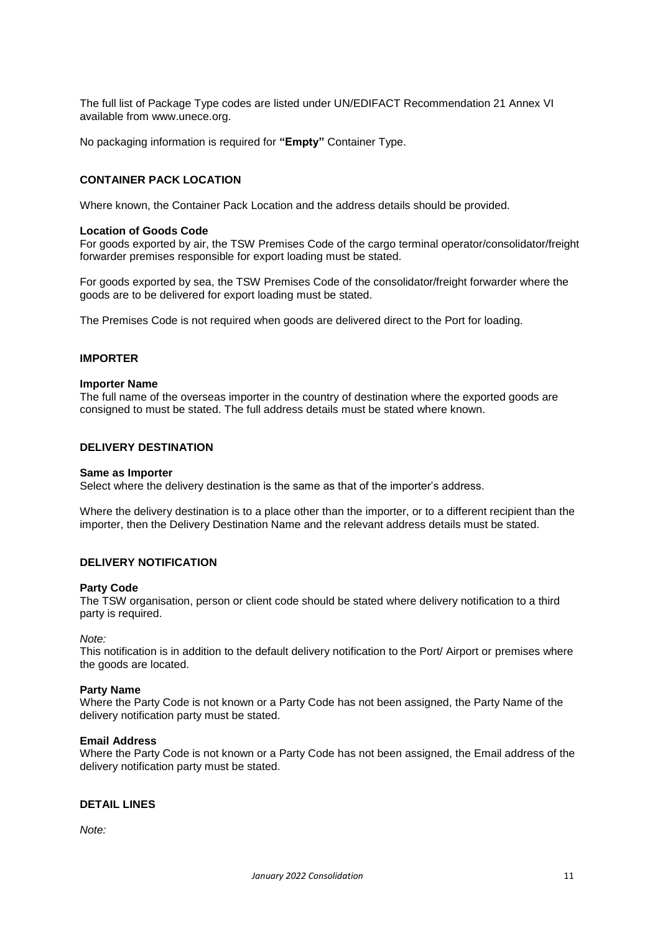The full list of Package Type codes are listed under UN/EDIFACT Recommendation 21 Annex VI available from www.unece.org.

No packaging information is required for **"Empty"** Container Type.

## **CONTAINER PACK LOCATION**

Where known, the Container Pack Location and the address details should be provided.

#### **Location of Goods Code**

For goods exported by air, the TSW Premises Code of the cargo terminal operator/consolidator/freight forwarder premises responsible for export loading must be stated.

For goods exported by sea, the TSW Premises Code of the consolidator/freight forwarder where the goods are to be delivered for export loading must be stated.

The Premises Code is not required when goods are delivered direct to the Port for loading.

#### **IMPORTER**

#### **Importer Name**

The full name of the overseas importer in the country of destination where the exported goods are consigned to must be stated. The full address details must be stated where known.

#### **DELIVERY DESTINATION**

#### **Same as Importer**

Select where the delivery destination is the same as that of the importer's address.

Where the delivery destination is to a place other than the importer, or to a different recipient than the importer, then the Delivery Destination Name and the relevant address details must be stated.

# **DELIVERY NOTIFICATION**

#### **Party Code**

The TSW organisation, person or client code should be stated where delivery notification to a third party is required.

*Note:*

This notification is in addition to the default delivery notification to the Port/ Airport or premises where the goods are located.

#### **Party Name**

Where the Party Code is not known or a Party Code has not been assigned, the Party Name of the delivery notification party must be stated.

#### **Email Address**

Where the Party Code is not known or a Party Code has not been assigned, the Email address of the delivery notification party must be stated.

# **DETAIL LINES**

*Note:*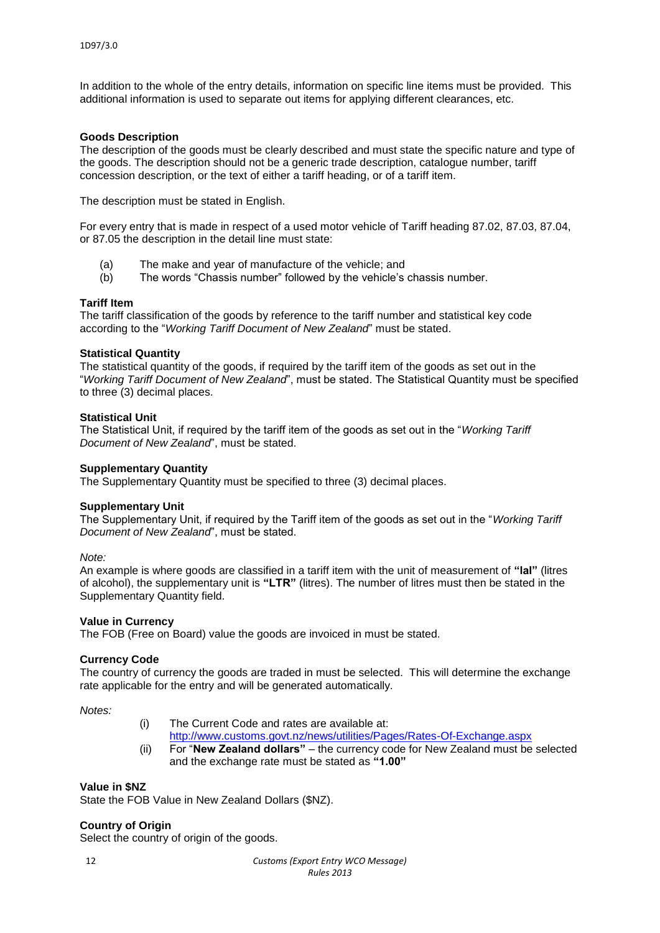In addition to the whole of the entry details, information on specific line items must be provided. This additional information is used to separate out items for applying different clearances, etc.

## **Goods Description**

The description of the goods must be clearly described and must state the specific nature and type of the goods. The description should not be a generic trade description, catalogue number, tariff concession description, or the text of either a tariff heading, or of a tariff item.

The description must be stated in English.

For every entry that is made in respect of a used motor vehicle of Tariff heading 87.02, 87.03, 87.04, or 87.05 the description in the detail line must state:

- (a) The make and year of manufacture of the vehicle; and
- (b) The words "Chassis number" followed by the vehicle's chassis number.

# **Tariff Item**

The tariff classification of the goods by reference to the tariff number and statistical key code according to the "*Working Tariff Document of New Zealand*" must be stated.

#### **Statistical Quantity**

The statistical quantity of the goods, if required by the tariff item of the goods as set out in the "*Working Tariff Document of New Zealand*", must be stated. The Statistical Quantity must be specified to three (3) decimal places.

# **Statistical Unit**

The Statistical Unit, if required by the tariff item of the goods as set out in the "*Working Tariff Document of New Zealand*", must be stated.

#### **Supplementary Quantity**

The Supplementary Quantity must be specified to three (3) decimal places.

#### **Supplementary Unit**

The Supplementary Unit, if required by the Tariff item of the goods as set out in the "*Working Tariff Document of New Zealand*", must be stated.

*Note:*

An example is where goods are classified in a tariff item with the unit of measurement of **"lal"** (litres of alcohol), the supplementary unit is **"LTR"** (litres). The number of litres must then be stated in the Supplementary Quantity field.

#### **Value in Currency**

The FOB (Free on Board) value the goods are invoiced in must be stated.

## **Currency Code**

The country of currency the goods are traded in must be selected. This will determine the exchange rate applicable for the entry and will be generated automatically.

*Notes:*

- (i) The Current Code and rates are available at:
- <http://www.customs.govt.nz/news/utilities/Pages/Rates-Of-Exchange.aspx> (ii) For "**New Zealand dollars"** – the currency code for New Zealand must be selected and the exchange rate must be stated as **"1.00"**

#### **Value in \$NZ**

State the FOB Value in New Zealand Dollars (\$NZ).

#### **Country of Origin**

Select the country of origin of the goods.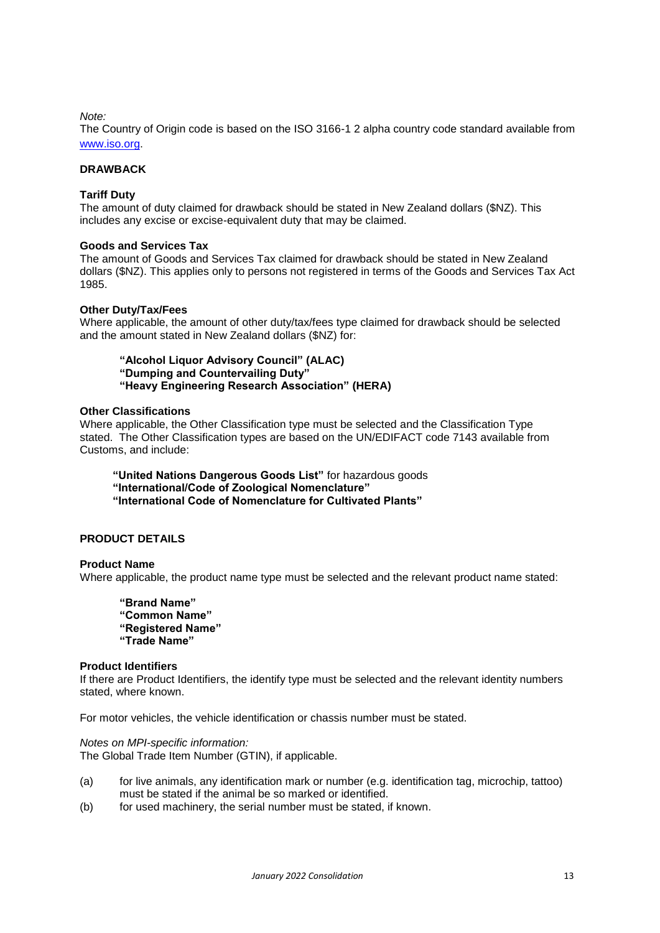#### *Note:*

The Country of Origin code is based on the ISO 3166-1 2 alpha country code standard available from [www.iso.org.](http://www.iso.org/)

# **DRAWBACK**

### **Tariff Duty**

The amount of duty claimed for drawback should be stated in New Zealand dollars (\$NZ). This includes any excise or excise-equivalent duty that may be claimed.

#### **Goods and Services Tax**

The amount of Goods and Services Tax claimed for drawback should be stated in New Zealand dollars (\$NZ). This applies only to persons not registered in terms of the Goods and Services Tax Act 1985.

#### **Other Duty/Tax/Fees**

Where applicable, the amount of other duty/tax/fees type claimed for drawback should be selected and the amount stated in New Zealand dollars (\$NZ) for:

**"Alcohol Liquor Advisory Council" (ALAC) "Dumping and Countervailing Duty" "Heavy Engineering Research Association" (HERA)**

## **Other Classifications**

Where applicable, the Other Classification type must be selected and the Classification Type stated. The Other Classification types are based on the UN/EDIFACT code 7143 available from Customs, and include:

**"United Nations Dangerous Goods List"** for hazardous goods **"International/Code of Zoological Nomenclature" "International Code of Nomenclature for Cultivated Plants"**

# **PRODUCT DETAILS**

#### **Product Name**

Where applicable, the product name type must be selected and the relevant product name stated:

**"Brand Name" "Common Name" "Registered Name" "Trade Name"**

#### **Product Identifiers**

If there are Product Identifiers, the identify type must be selected and the relevant identity numbers stated, where known.

For motor vehicles, the vehicle identification or chassis number must be stated.

*Notes on MPI-specific information:* The Global Trade Item Number (GTIN), if applicable.

- (a) for live animals, any identification mark or number (e.g. identification tag, microchip, tattoo) must be stated if the animal be so marked or identified.
- (b) for used machinery, the serial number must be stated, if known.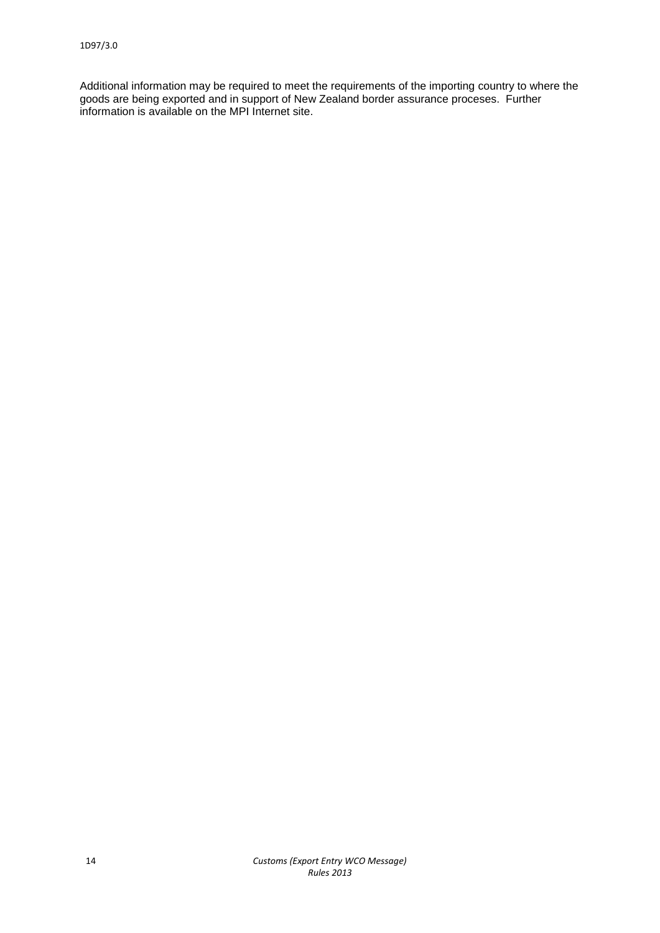Additional information may be required to meet the requirements of the importing country to where the goods are being exported and in support of New Zealand border assurance proceses. Further information is available on the MPI Internet site.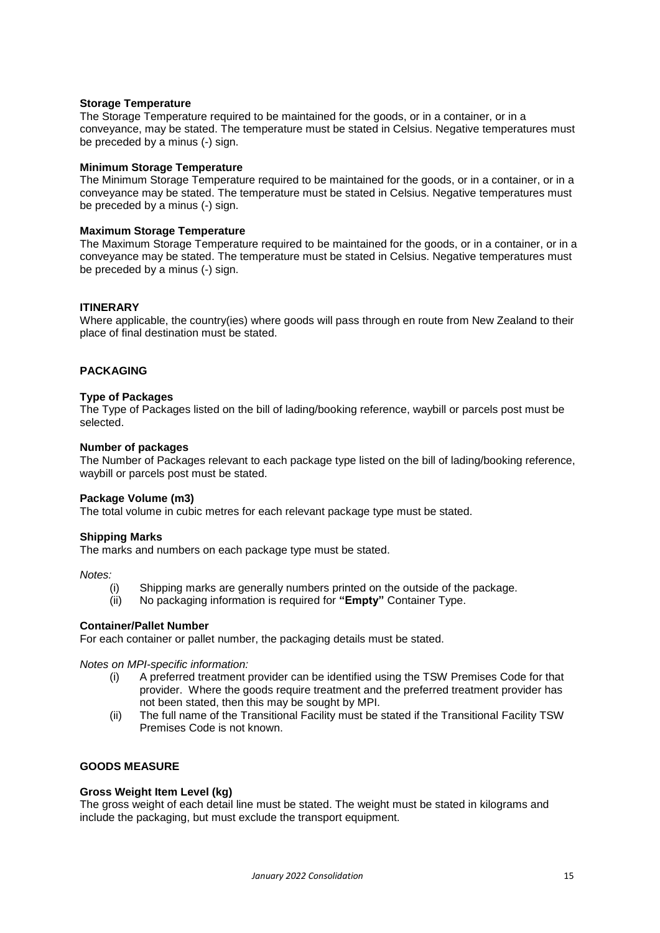#### **Storage Temperature**

The Storage Temperature required to be maintained for the goods, or in a container, or in a conveyance, may be stated. The temperature must be stated in Celsius. Negative temperatures must be preceded by a minus (-) sign.

### **Minimum Storage Temperature**

The Minimum Storage Temperature required to be maintained for the goods, or in a container, or in a conveyance may be stated. The temperature must be stated in Celsius. Negative temperatures must be preceded by a minus (-) sign.

#### **Maximum Storage Temperature**

The Maximum Storage Temperature required to be maintained for the goods, or in a container, or in a conveyance may be stated. The temperature must be stated in Celsius. Negative temperatures must be preceded by a minus (-) sign.

# **ITINERARY**

Where applicable, the country(ies) where goods will pass through en route from New Zealand to their place of final destination must be stated.

# **PACKAGING**

#### **Type of Packages**

The Type of Packages listed on the bill of lading/booking reference, waybill or parcels post must be selected.

#### **Number of packages**

The Number of Packages relevant to each package type listed on the bill of lading/booking reference, waybill or parcels post must be stated.

## **Package Volume (m3)**

The total volume in cubic metres for each relevant package type must be stated.

#### **Shipping Marks**

The marks and numbers on each package type must be stated.

*Notes:*

- (i) Shipping marks are generally numbers printed on the outside of the package.
- (ii) No packaging information is required for **"Empty"** Container Type.

# **Container/Pallet Number**

For each container or pallet number, the packaging details must be stated.

*Notes on MPI-specific information:*

- (i) A preferred treatment provider can be identified using the TSW Premises Code for that provider. Where the goods require treatment and the preferred treatment provider has not been stated, then this may be sought by MPI.
- (ii) The full name of the Transitional Facility must be stated if the Transitional Facility TSW Premises Code is not known.

# **GOODS MEASURE**

#### **Gross Weight Item Level (kg)**

The gross weight of each detail line must be stated. The weight must be stated in kilograms and include the packaging, but must exclude the transport equipment.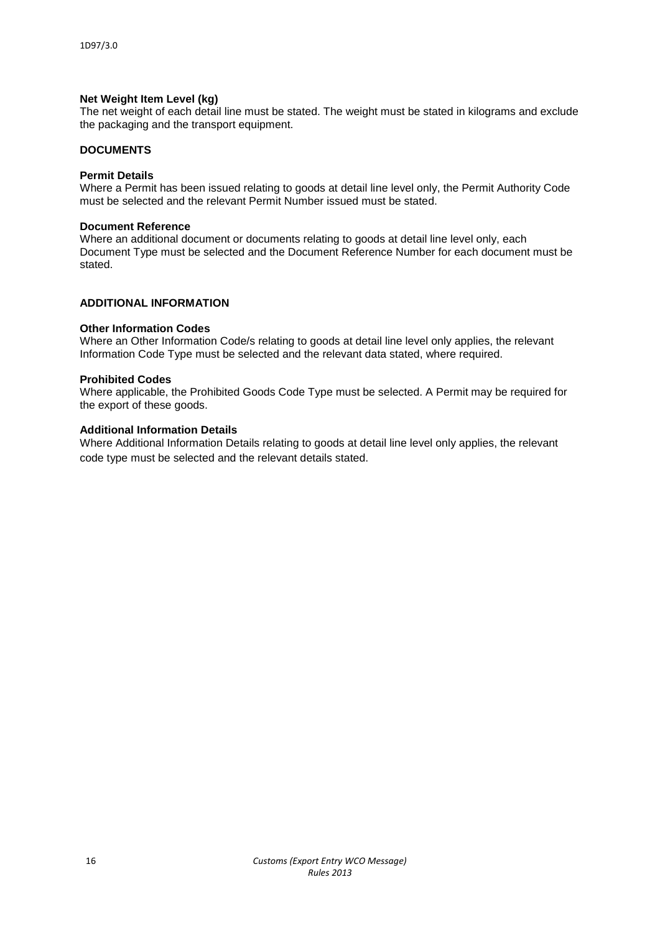# **Net Weight Item Level (kg)**

The net weight of each detail line must be stated. The weight must be stated in kilograms and exclude the packaging and the transport equipment.

# **DOCUMENTS**

# **Permit Details**

Where a Permit has been issued relating to goods at detail line level only, the Permit Authority Code must be selected and the relevant Permit Number issued must be stated.

#### **Document Reference**

Where an additional document or documents relating to goods at detail line level only, each Document Type must be selected and the Document Reference Number for each document must be stated.

#### **ADDITIONAL INFORMATION**

#### **Other Information Codes**

Where an Other Information Code/s relating to goods at detail line level only applies, the relevant Information Code Type must be selected and the relevant data stated, where required.

#### **Prohibited Codes**

Where applicable, the Prohibited Goods Code Type must be selected. A Permit may be required for the export of these goods.

# **Additional Information Details**

Where Additional Information Details relating to goods at detail line level only applies, the relevant code type must be selected and the relevant details stated.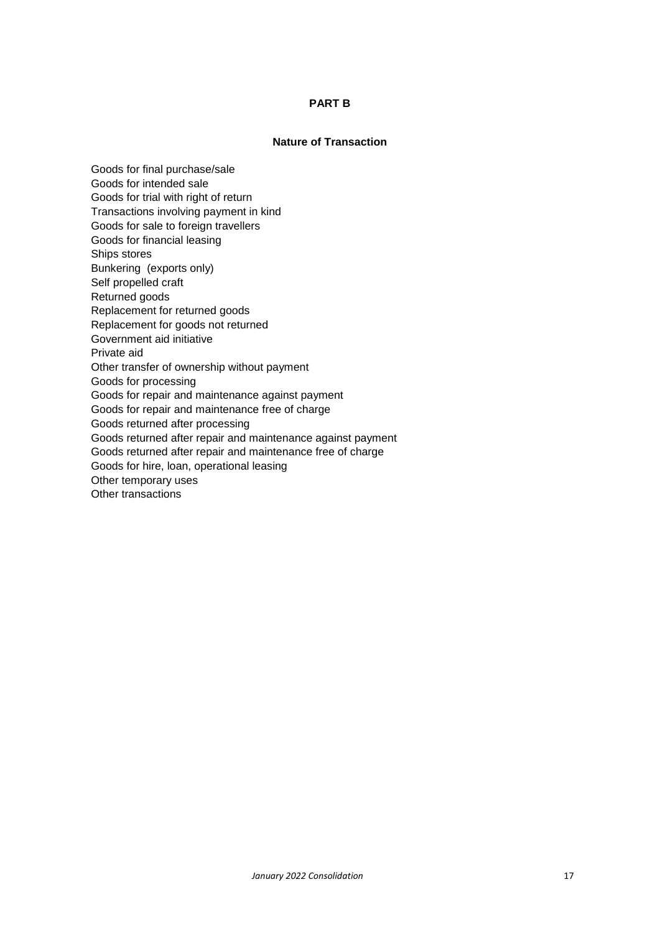# **PART B**

# **Nature of Transaction**

Goods for final purchase/sale Goods for intended sale Goods for trial with right of return Transactions involving payment in kind Goods for sale to foreign travellers Goods for financial leasing Ships stores Bunkering (exports only) Self propelled craft Returned goods Replacement for returned goods Replacement for goods not returned Government aid initiative Private aid Other transfer of ownership without payment Goods for processing Goods for repair and maintenance against payment Goods for repair and maintenance free of charge Goods returned after processing Goods returned after repair and maintenance against payment Goods returned after repair and maintenance free of charge Goods for hire, loan, operational leasing Other temporary uses Other transactions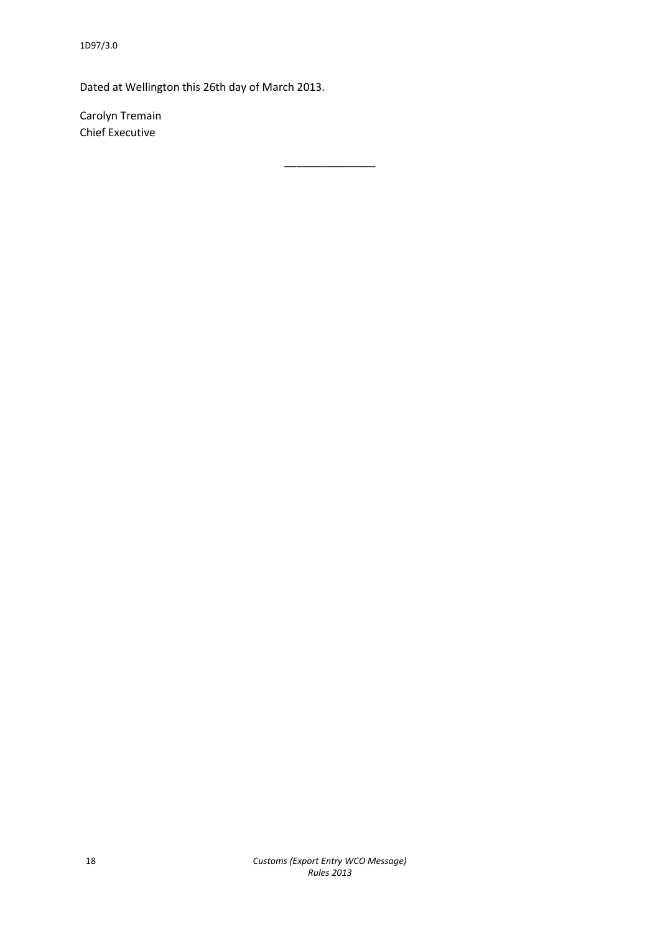Dated at Wellington this 26th day of March 2013.

\_\_\_\_\_\_\_\_\_\_\_\_\_\_\_

Carolyn Tremain Chief Executive